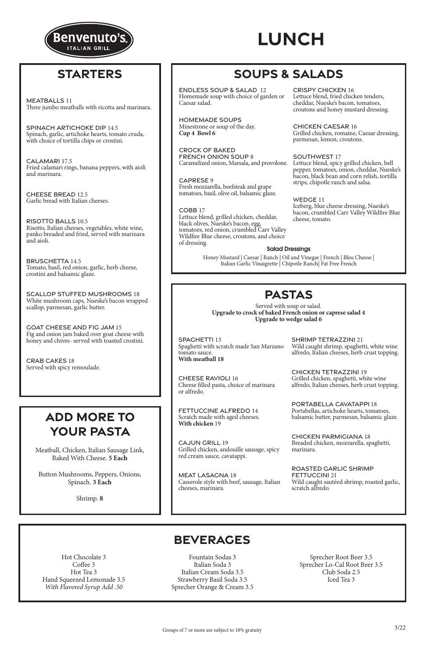### Salad Dressings

Honey Mustard | Caesar | Ranch | Oil and Vinegar | French | Bleu Cheese | Italian Garlic Vinaigrette | Chipotle Ranch| Fat Free French

## **PASTAS**

Served with soup or salad. **Upgrade to crock of baked French onion or caprese salad 4 Upgrade to wedge salad 6**

### **BEVERAGES**

Hot Chocolate 3 Coffee 3 Hot Tea 3 Hand Squeezed Lemonade 3.5 *With Flavored Syrup Add .50*

Fountain Sodas 3 Italian Soda 3 Italian Cream Soda 3.5 Strawberry Basil Soda 3.5 Sprecher Orange & Cream 3.5

Sprecher Root Beer 3.5 Sprecher Lo-Cal Root Beer 3.5 Club Soda 2.5 Iced Tea 3

Caramelized onion, Marsala, and provolone. Lettuce blend, spicy grilled chicken, bell pepper, tomatoes, onion, cheddar, Nueske's bacon, black bean and corn relish, tortilla strips, chipotle ranch and salsa.

Meatball, Chicken, Italian Sausage Link, Baked With Cheese. **5 Each**

Button Mushrooms, Peppers, Onions, Spinach. **3 Each**

Shrimp. **8**

# **SOUPS & SALADS**

# **ADD MORE TO YOUR PASTA**

## **STARTERS**



### CRISPY CHICKEN 16

Lettuce blend, fried chicken tenders, cheddar, Nueske's bacon, tomatoes, croutons and honey mustard dressing.

CHICKEN CAESAR 16 Grilled chicken, romaine, Caesar dressing, parmesan, lemon, croutons.

### SOUTHWEST 17

WEDGE 11 Iceberg, blue cheese dressing, Nueske's bacon, crumbled Carr Valley Wildfire Blue cheese, tomato.

ENDLESS SOUP & SALAD 12 Homemade soup with choice of garden or Caesar salad.

HOMEMADE SOUPS Minestrone or soup of the day. **Cup 4 Bowl 6** 

CROCK OF BAKED FRENCH ONION SOUP 8

CAPRESE 9 Fresh mozzarella, beefsteak and grape tomatoes, basil, olive oil, balsamic glaze.

COBB 17 Lettuce blend, grilled chicken, cheddar, black olives, Nueske's bacon, egg, tomatoes, red onion, crumbled Carr Valley Wildfire Blue cheese, croutons, and choice of dressing.

MEATBALLS 11 Three jumbo meatballs with ricotta and marinara.

SPINACH ARTICHOKE DIP 14.5 Spinach, garlic, artichoke hearts, tomato cruda, with choice of tortilla chips or crostini.

CALAMARI 17.5 Fried calamari rings, banana peppers, with aioli and marinara.

CHEESE BREAD 12.5 Garlic bread with Italian cheeses.

RISOTTO BALLS 10.5 Risotto, Italian cheeses, vegetables, white wine, panko breaded and fried, served with marinara and aioli.

BRUSCHETTA 14.5 Tomato, basil, red onion, garlic, herb cheese, crostini and balsamic glaze.

SCALLOP STUFFED MUSHROOMS 18 White mushroom caps, Nueske's bacon wrapped scallop, parmesan, garlic butter.

GOAT CHEESE AND FIG JAM 15 Fig and onion jam baked over goat cheese with honey and chives- served with toasted crostini.

CRAB CAKES 18 Served with spicy remoulade.

SPAGHETTI 13 Spaghetti with scratch made San Marzano tomato sauce. **With meatball 18**

CHEESE RAVIOLI 16 Cheese filled pasta, choice of marinara or alfredo.

FETTUCCINE ALFREDO 14 Scratch made with aged cheeses. **With chicken** 19

CAJUN GRILL 19 Grilled chicken, andouille sausage, spicy red cream sauce, cavatappi.

MEAT LASAGNA 18 Casserole style with beef, sausage, Italian

cheeses, marinara.

SHRIMP TETRAZZINI 21 Wild caught shrimp, spaghetti, white wine alfredo, Italian cheeses, herb crust topping.

CHICKEN TETRAZZINI 19 Grilled chicken, spaghetti, white wine alfredo, Italian cheeses, herb crust topping.

PORTABELLA CAVATAPPI 18 Portabellas, artichoke hearts, tomatoes, balsamic butter, parmesan, balsamic glaze.

CHICKEN PARMIGIANA 18 Breaded chicken, mozzarella, spaghetti, marinara.

ROASTED GARLIC SHRIMP FETTUCCINI 21 Wild caught sautéed shrimp, roasted garlic,

scratch alfredo.